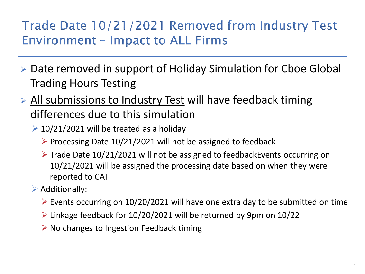## Trade Date 10/21/2021 Removed from Industry Test **Environment - Impact to ALL Firms**

- Date removed in support of Holiday Simulation for Cboe Global Trading Hours Testing
- > All submissions to Industry Test will have feedback timing differences due to this simulation
	- $\geq 10/21/2021$  will be treated as a holiday
		- $\triangleright$  Processing Date 10/21/2021 will not be assigned to feedback
		- $\triangleright$  Trade Date 10/21/2021 will not be assigned to feedbackEvents occurring on 10/21/2021 will be assigned the processing date based on when they were reported to CAT
	- $\triangleright$  Additionally:
		- $\triangleright$  Events occurring on 10/20/2021 will have one extra day to be submitted on time
		- Linkage feedback for 10/20/2021 will be returned by 9pm on 10/22
		- $\triangleright$  No changes to Ingestion Feedback timing